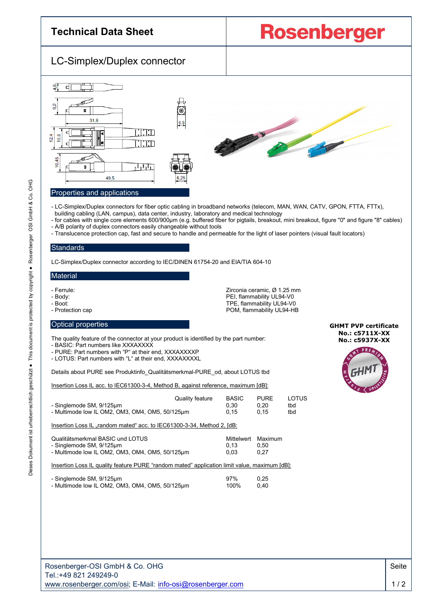

POM, flammability UL94-HB

- Ferrule: Zirconia ceramic, Ø 1.25 mm
- Body: PEI, flammability UL94-V0
- 
- Boot: TPE, flammability UL94-V0

### Optical properties

The quality feature of the connector at your product is identified by the part number:

- BASIC: Part numbers like XXXAXXXX

- PURE: Part numbers with "P" at their end, XXXAXXXXP
- LOTUS: Part numbers with "L" at their end, XXXAXXXXL

Details about PURE see Produktinfo\_Qualitätsmerkmal-PURE\_od, about LOTUS tbd

Insertion Loss IL acc. to IEC61300-3-4, Method B, against reference, maximum [dB]:

| - Singlemode SM, 9/125µm<br>- Multimode low IL OM2, OM3, OM4, OM5, 50/125um                                     | Quality feature | <b>BASIC</b><br>0.30<br>0.15 | <b>PURE</b><br>0.20<br>0.15 | LOTUS<br>tbd<br>tbd |
|-----------------------------------------------------------------------------------------------------------------|-----------------|------------------------------|-----------------------------|---------------------|
| Insertion Loss IL "random mated" acc. to IEC61300-3-34, Method 2, [dB:                                          |                 |                              |                             |                     |
| Qualitätsmerkmal BASIC und LOTUS<br>- Singlemode SM, 9/125um<br>- Multimode low IL OM2, OM3, OM4, OM5, 50/125um |                 | Mittelwert<br>0.13<br>0.03   | Maximum<br>0.50<br>0.27     |                     |

Insertion Loss IL quality feature PURE "random mated" application limit value, maximum [dB]:

| - Singlemode SM, 9/125µm                        | 97%  | 0.25 |
|-------------------------------------------------|------|------|
| - Multimode low IL OM2, OM3, OM4, OM5, 50/125µm | 100% | 0.40 |

**GHMT PVP certificate No.: c5711X-XX No.: c5937X-XX**



G